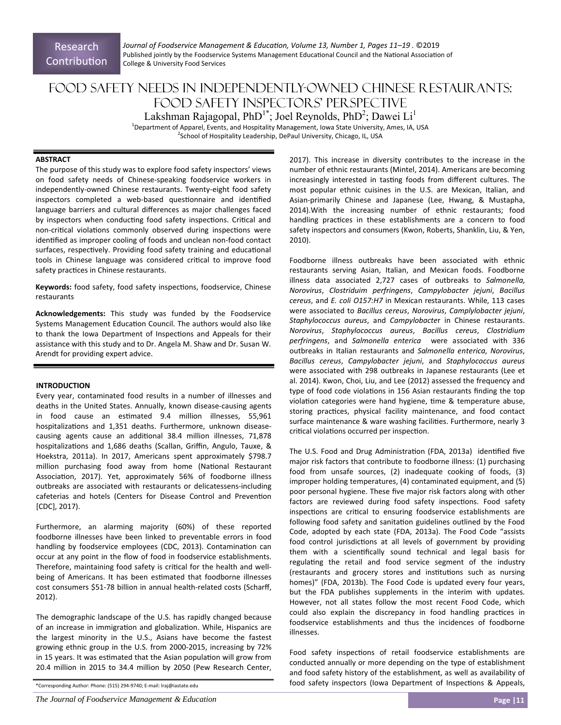Research **Contribution**  *Journal of Foodservice Management & EducaƟon, Volume 13, Number 1, Pages 11–19 .* ©2019 Published jointly by the Foodservice Systems Management Educational Council and the National Association of College & University Food Services

# Food Safety Needs in Independently-Owned Chinese Restaurants: Food Safety Inspectors' Perspective Lakshman Rajagopal, Ph $D^{1*}$ ; Joel Reynolds, Ph $D^2$ ; Dawei Li $^1$

<sup>1</sup>Department of Apparel, Events, and Hospitality Management, Iowa State University, Ames, IA, USA <sup>2</sup>School of Hospitality Leadership, DePaul University, Chicago, IL, USA

#### **ABSTRACT**

The purpose of this study was to explore food safety inspectors' views on food safety needs of Chinese‐speaking foodservice workers in independently‐owned Chinese restaurants. Twenty‐eight food safety inspectors completed a web-based questionnaire and identified language barriers and cultural differences as major challenges faced by inspectors when conducting food safety inspections. Critical and non-critical violations commonly observed during inspections were identified as improper cooling of foods and unclean non-food contact surfaces, respectively. Providing food safety training and educational tools in Chinese language was considered critical to improve food safety practices in Chinese restaurants.

Keywords: food safety, food safety inspections, foodservice, Chinese restaurants

**Acknowledgements:** This study was funded by the Foodservice Systems Management Education Council. The authors would also like to thank the Iowa Department of Inspections and Appeals for their assistance with this study and to Dr. Angela M. Shaw and Dr. Susan W. Arendt for providing expert advice.

## **INTRODUCTION**

Every year, contaminated food results in a number of illnesses and deaths in the United States. Annually, known disease‐causing agents in food cause an estimated 9.4 million illnesses, 55,961 hospitalizations and 1,351 deaths. Furthermore, unknown diseasecausing agents cause an additional 38.4 million illnesses, 71,878 hospitalizations and 1,686 deaths (Scallan, Griffin, Angulo, Tauxe, & Hoekstra, 2011a). In 2017, Americans spent approximately \$798.7 million purchasing food away from home (National Restaurant Association, 2017). Yet, approximately 56% of foodborne illness outbreaks are associated with restaurants or delicatessens‐including cafeterias and hotels (Centers for Disease Control and Prevention [CDC], 2017).

Furthermore, an alarming majority (60%) of these reported foodborne illnesses have been linked to preventable errors in food handling by foodservice employees (CDC, 2013). Contamination can occur at any point in the flow of food in foodservice establishments. Therefore, maintaining food safety is critical for the health and wellbeing of Americans. It has been estimated that foodborne illnesses cost consumers \$51‐78 billion in annual health‐related costs (Scharff, 2012).

The demographic landscape of the U.S. has rapidly changed because of an increase in immigration and globalization. While, Hispanics are the largest minority in the U.S., Asians have become the fastest growing ethnic group in the U.S. from 2000‐2015, increasing by 72% in 15 years. It was estimated that the Asian population will grow from 20.4 million in 2015 to 34.4 million by 2050 (Pew Research Center,

2017). This increase in diversity contributes to the increase in the number of ethnic restaurants (Mintel, 2014). Americans are becoming increasingly interested in tasting foods from different cultures. The most popular ethnic cuisines in the U.S. are Mexican, Italian, and Asian‐primarily Chinese and Japanese (Lee, Hwang, & Mustapha, 2014).With the increasing number of ethnic restaurants; food handling practices in these establishments are a concern to food safety inspectors and consumers (Kwon, Roberts, Shanklin, Liu, & Yen, 2010).

Foodborne illness outbreaks have been associated with ethnic restaurants serving Asian, Italian, and Mexican foods. Foodborne illness data associated 2,727 cases of outbreaks to *Salmonella*, *Norovirus*, *Clostriduim perfringens*, *Campylobacter jejuni*, *Bacillus cereus*, and *E. coli O157:H7* in Mexican restaurants. While, 113 cases were associated to *Bacillus cereus*, *Norovirus*, *Camplylobacter jejuni*, *Staphylococcus aureus*, and *Campylobacte*r in Chinese restaurants. *Norovirus*, *Staphylococcus aureus*, *Bacillus cereus*, *Clostridium perfringens*, and *Salmonella enterica* were associated with 336 outbreaks in Italian restaurants and *Salmonella enterica*, *Norovirus*, *Bacillus cereus*, *Campylobacter jejuni*, and *Staphylococcus aureus* were associated with 298 outbreaks in Japanese restaurants (Lee et al. 2014). Kwon, Choi, Liu, and Lee (2012) assessed the frequency and type of food code violations in 156 Asian restaurants finding the top violation categories were hand hygiene, time & temperature abuse, storing practices, physical facility maintenance, and food contact surface maintenance & ware washing facilities. Furthermore, nearly 3 critical violations occurred per inspection.

The U.S. Food and Drug Administration (FDA, 2013a) identified five major risk factors that contribute to foodborne illness: (1) purchasing food from unsafe sources, (2) inadequate cooking of foods, (3) improper holding temperatures, (4) contaminated equipment, and (5) poor personal hygiene. These five major risk factors along with other factors are reviewed during food safety inspections. Food safety inspections are critical to ensuring foodservice establishments are following food safety and sanitation guidelines outlined by the Food Code, adopted by each state (FDA, 2013a). The Food Code "assists food control jurisdictions at all levels of government by providing them with a scientifically sound technical and legal basis for regulating the retail and food service segment of the industry (restaurants and grocery stores and institutions such as nursing homes)" (FDA, 2013b). The Food Code is updated every four years, but the FDA publishes supplements in the interim with updates. However, not all states follow the most recent Food Code, which could also explain the discrepancy in food handling practices in foodservice establishments and thus the incidences of foodborne illnesses.

Food safety inspections of retail foodservice establishments are conducted annually or more depending on the type of establishment and food safety history of the establishment, as well as availability of food safety inspectors (Iowa Department of Inspections & Appeals,

*The Journal of Foodservice Management & Education* **<b>Page 11 Page 121 Page 121** 

<sup>\*</sup>Corresponding Author: Phone: (515) 294‐9740; E‐mail: lraj@iastate.edu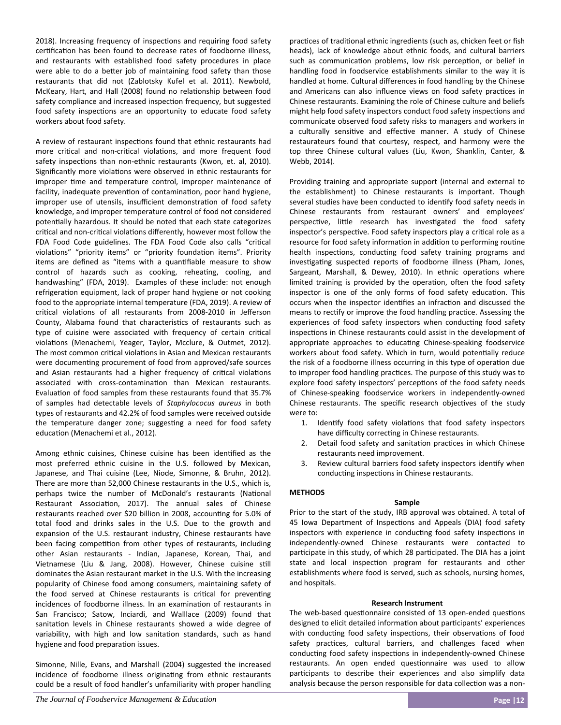2018). Increasing frequency of inspections and requiring food safety certification has been found to decrease rates of foodborne illness, and restaurants with established food safety procedures in place were able to do a better job of maintaining food safety than those restaurants that did not (Zablotsky Kufel et al. 2011). Newbold, McKeary, Hart, and Hall (2008) found no relationship between food safety compliance and increased inspection frequency, but suggested food safety inspections are an opportunity to educate food safety workers about food safety.

A review of restaurant inspections found that ethnic restaurants had more critical and non-critical violations, and more frequent food safety inspections than non-ethnic restaurants (Kwon, et. al, 2010). Significantly more violations were observed in ethnic restaurants for improper time and temperature control, improper maintenance of facility, inadequate prevention of contamination, poor hand hygiene, improper use of utensils, insufficient demonstration of food safety knowledge, and improper temperature control of food not considered potentially hazardous. It should be noted that each state categorizes critical and non-critical violations differently, however most follow the FDA Food Code guidelines. The FDA Food Code also calls "critical violations" "priority items" or "priority foundation items". Priority items are defined as "items with a quantifiable measure to show control of hazards such as cooking, reheating, cooling, and handwashing" (FDA, 2019). Examples of these include: not enough refrigeration equipment, lack of proper hand hygiene or not cooking food to the appropriate internal temperature (FDA, 2019). A review of critical violations of all restaurants from 2008-2010 in Jefferson County, Alabama found that characteristics of restaurants such as type of cuisine were associated with frequency of certain critical violations (Menachemi, Yeager, Taylor, Mcclure, & Outmet, 2012). The most common critical violations in Asian and Mexican restaurants were documenting procurement of food from approved/safe sources and Asian restaurants had a higher frequency of critical violations associated with cross-contamination than Mexican restaurants. Evaluation of food samples from these restaurants found that 35.7% of samples had detectable levels of *Staphylococus aureus* in both types of restaurants and 42.2% of food samples were received outside the temperature danger zone; suggesting a need for food safety education (Menachemi et al., 2012).

Among ethnic cuisines, Chinese cuisine has been identified as the most preferred ethnic cuisine in the U.S. followed by Mexican, Japanese, and Thai cuisine (Lee, Niode, Simonne, & Bruhn, 2012). There are more than 52,000 Chinese restaurants in the U.S., which is, perhaps twice the number of McDonald's restaurants (National Restaurant Association, 2017). The annual sales of Chinese restaurants reached over \$20 billion in 2008, accounting for 5.0% of total food and drinks sales in the U.S. Due to the growth and expansion of the U.S. restaurant industry, Chinese restaurants have been facing competition from other types of restaurants, including other Asian restaurants ‐ Indian, Japanese, Korean, Thai, and Vietnamese (Liu & Jang, 2008). However, Chinese cuisine still dominates the Asian restaurant market in the U.S. With the increasing popularity of Chinese food among consumers, maintaining safety of the food served at Chinese restaurants is critical for preventing incidences of foodborne illness. In an examination of restaurants in San Francisco; Satow, Inciardi, and Walllace (2009) found that sanitation levels in Chinese restaurants showed a wide degree of variability, with high and low sanitation standards, such as hand hygiene and food preparation issues.

Simonne, Nille, Evans, and Marshall (2004) suggested the increased incidence of foodborne illness originating from ethnic restaurants could be a result of food handler's unfamiliarity with proper handling practices of traditional ethnic ingredients (such as, chicken feet or fish heads), lack of knowledge about ethnic foods, and cultural barriers such as communication problems, low risk perception, or belief in handling food in foodservice establishments similar to the way it is handled at home. Cultural differences in food handling by the Chinese and Americans can also influence views on food safety practices in Chinese restaurants. Examining the role of Chinese culture and beliefs might help food safety inspectors conduct food safety inspections and communicate observed food safety risks to managers and workers in a culturally sensitive and effective manner. A study of Chinese restaurateurs found that courtesy, respect, and harmony were the top three Chinese cultural values (Liu, Kwon, Shanklin, Canter, & Webb, 2014).

Providing training and appropriate support (internal and external to the establishment) to Chinese restaurants is important. Though several studies have been conducted to identify food safety needs in Chinese restaurants from restaurant owners' and employees' perspective, little research has investigated the food safety inspector's perspective. Food safety inspectors play a critical role as a resource for food safety information in addition to performing routine health inspections, conducting food safety training programs and investigating suspected reports of foodborne illness (Pham, Jones, Sargeant, Marshall, & Dewey, 2010). In ethnic operations where limited training is provided by the operation, often the food safety inspector is one of the only forms of food safety education. This occurs when the inspector identifies an infraction and discussed the means to rectify or improve the food handling practice. Assessing the experiences of food safety inspectors when conducting food safety inspections in Chinese restaurants could assist in the development of appropriate approaches to educating Chinese-speaking foodservice workers about food safety. Which in turn, would potentially reduce the risk of a foodborne illness occurring in this type of operation due to improper food handling practices. The purpose of this study was to explore food safety inspectors' perceptions of the food safety needs of Chinese‐speaking foodservice workers in independently‐owned Chinese restaurants. The specific research objectives of the study were to:

- 1. Identify food safety violations that food safety inspectors have difficulty correcting in Chinese restaurants.
- 2. Detail food safety and sanitation practices in which Chinese restaurants need improvement.
- 3. Review cultural barriers food safety inspectors identify when conducting inspections in Chinese restaurants.

## **METHODS**

## **Sample**

Prior to the start of the study, IRB approval was obtained. A total of 45 Iowa Department of Inspections and Appeals (DIA) food safety inspectors with experience in conducting food safety inspections in independently‐owned Chinese restaurants were contacted to participate in this study, of which 28 participated. The DIA has a joint state and local inspection program for restaurants and other establishments where food is served, such as schools, nursing homes, and hospitals.

## **Research Instrument**

The web-based questionnaire consisted of 13 open-ended questions designed to elicit detailed information about participants' experiences with conducting food safety inspections, their observations of food safety practices, cultural barriers, and challenges faced when conducting food safety inspections in independently-owned Chinese restaurants. An open ended questionnaire was used to allow participants to describe their experiences and also simplify data analysis because the person responsible for data collection was a non-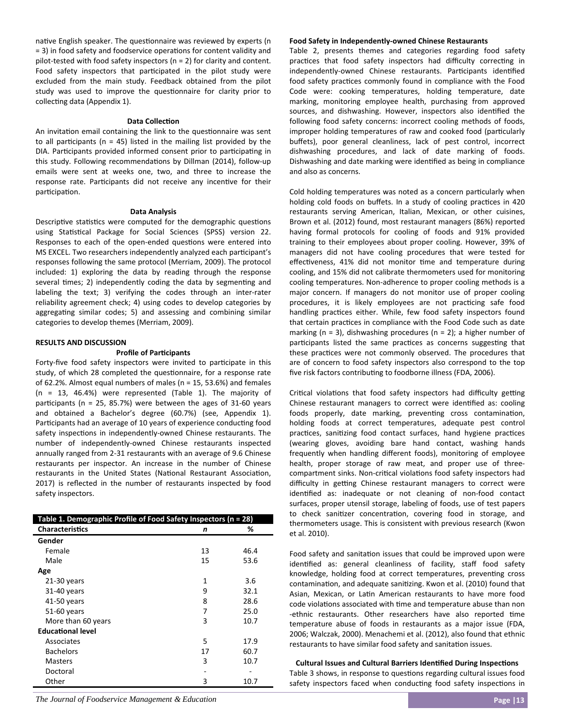native English speaker. The questionnaire was reviewed by experts (n = 3) in food safety and foodservice operations for content validity and pilot-tested with food safety inspectors ( $n = 2$ ) for clarity and content. Food safety inspectors that participated in the pilot study were excluded from the main study. Feedback obtained from the pilot study was used to improve the questionnaire for clarity prior to collecting data (Appendix 1).

## **Data Collection**

An invitation email containing the link to the questionnaire was sent to all participants  $(n = 45)$  listed in the mailing list provided by the DIA. Participants provided informed consent prior to participating in this study. Following recommendations by Dillman (2014), follow-up emails were sent at weeks one, two, and three to increase the response rate. Participants did not receive any incentive for their participation.

#### **Data Analysis**

Descriptive statistics were computed for the demographic questions using Statistical Package for Social Sciences (SPSS) version 22. Responses to each of the open-ended questions were entered into MS EXCEL. Two researchers independently analyzed each participant's responses following the same protocol (Merriam, 2009). The protocol included: 1) exploring the data by reading through the response several times; 2) independently coding the data by segmenting and labeling the text; 3) verifying the codes through an inter‐rater reliability agreement check; 4) using codes to develop categories by aggregating similar codes; 5) and assessing and combining similar categories to develop themes (Merriam, 2009).

#### **RESULTS AND DISCUSSION**

#### **Profile of ParƟcipants**

Forty-five food safety inspectors were invited to participate in this study, of which 28 completed the questionnaire, for a response rate of 62.2%. Almost equal numbers of males (n = 15, 53.6%) and females (n = 13, 46.4%) were represented (Table 1). The majority of participants ( $n = 25$ , 85.7%) were between the ages of 31-60 years and obtained a Bachelor's degree (60.7%) (see, Appendix 1). Participants had an average of 10 years of experience conducting food safety inspections in independently-owned Chinese restaurants. The number of independently‐owned Chinese restaurants inspected annually ranged from 2‐31 restaurants with an average of 9.6 Chinese restaurants per inspector. An increase in the number of Chinese restaurants in the United States (National Restaurant Association, 2017) is reflected in the number of restaurants inspected by food safety inspectors.

| Table 1. Demographic Profile of Food Safety Inspectors (n = 28) |    |      |  |
|-----------------------------------------------------------------|----|------|--|
| <b>Characteristics</b>                                          | n  | ℅    |  |
| Gender                                                          |    |      |  |
| Female                                                          | 13 | 46.4 |  |
| Male                                                            | 15 | 53.6 |  |
| Age                                                             |    |      |  |
| $21-30$ years                                                   | 1  | 3.6  |  |
| 31-40 years                                                     | 9  | 32.1 |  |
| 41-50 years                                                     | 8  | 28.6 |  |
| 51-60 years                                                     | 7  | 25.0 |  |
| More than 60 years                                              | 3  | 10.7 |  |
| <b>Educational level</b>                                        |    |      |  |
| Associates                                                      | 5  | 17.9 |  |
| <b>Bachelors</b>                                                | 17 | 60.7 |  |
| Masters                                                         | 3  | 10.7 |  |
| Doctoral                                                        |    |      |  |
| Other                                                           | 3  | 10.7 |  |

#### **Food Safety in Independently‐owned Chinese Restaurants**

Table 2, presents themes and categories regarding food safety practices that food safety inspectors had difficulty correcting in independently-owned Chinese restaurants. Participants identified food safety practices commonly found in compliance with the Food Code were: cooking temperatures, holding temperature, date marking, monitoring employee health, purchasing from approved sources, and dishwashing. However, inspectors also identified the following food safety concerns: incorrect cooling methods of foods, improper holding temperatures of raw and cooked food (particularly buffets), poor general cleanliness, lack of pest control, incorrect dishwashing procedures, and lack of date marking of foods. Dishwashing and date marking were identified as being in compliance and also as concerns.

Cold holding temperatures was noted as a concern particularly when holding cold foods on buffets. In a study of cooling practices in 420 restaurants serving American, Italian, Mexican, or other cuisines, Brown et al. (2012) found, most restaurant managers (86%) reported having formal protocols for cooling of foods and 91% provided training to their employees about proper cooling. However, 39% of managers did not have cooling procedures that were tested for effectiveness, 41% did not monitor time and temperature during cooling, and 15% did not calibrate thermometers used for monitoring cooling temperatures. Non‐adherence to proper cooling methods is a major concern. If managers do not monitor use of proper cooling procedures, it is likely employees are not practicing safe food handling practices either. While, few food safety inspectors found that certain practices in compliance with the Food Code such as date marking  $(n = 3)$ , dishwashing procedures  $(n = 2)$ ; a higher number of participants listed the same practices as concerns suggesting that these practices were not commonly observed. The procedures that are of concern to food safety inspectors also correspond to the top five risk factors contributing to foodborne illness (FDA, 2006).

Critical violations that food safety inspectors had difficulty getting Chinese restaurant managers to correct were identified as: cooling foods properly, date marking, preventing cross contamination, holding foods at correct temperatures, adequate pest control practices, sanitizing food contact surfaces, hand hygiene practices (wearing gloves, avoiding bare hand contact, washing hands frequently when handling different foods), monitoring of employee health, proper storage of raw meat, and proper use of threecompartment sinks. Non-critical violations food safety inspectors had difficulty in getting Chinese restaurant managers to correct were identified as: inadequate or not cleaning of non-food contact surfaces, proper utensil storage, labeling of foods, use of test papers to check sanitizer concentration, covering food in storage, and thermometers usage. This is consistent with previous research (Kwon et al. 2010).

Food safety and sanitation issues that could be improved upon were identified as: general cleanliness of facility, staff food safety knowledge, holding food at correct temperatures, preventing cross contamination, and adequate sanitizing. Kwon et al. (2010) found that Asian, Mexican, or Latin American restaurants to have more food code violations associated with time and temperature abuse than non -ethnic restaurants. Other researchers have also reported time temperature abuse of foods in restaurants as a major issue (FDA, 2006; Walczak, 2000). Menachemi et al. (2012), also found that ethnic restaurants to have similar food safety and sanitation issues.

**Cultural Issues and Cultural Barriers Identified During Inspections** Table 3 shows, in response to questions regarding cultural issues food safety inspectors faced when conducting food safety inspections in

*The Journal of Foodservice Management & Education* **<b>Page 13 Page 13 Page 13 Page 13**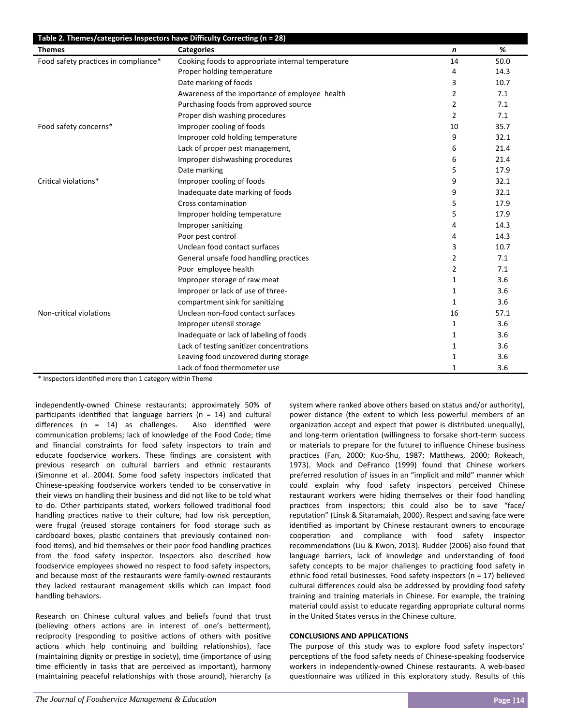| Table 2. Themes/categories Inspectors have Difficulty Correcting (n = 28) |                                                   |                  |      |  |
|---------------------------------------------------------------------------|---------------------------------------------------|------------------|------|--|
| <b>Themes</b>                                                             | <b>Categories</b>                                 | $\boldsymbol{n}$ | %    |  |
| Food safety practices in compliance*                                      | Cooking foods to appropriate internal temperature | 14               | 50.0 |  |
|                                                                           | Proper holding temperature                        | 4                | 14.3 |  |
|                                                                           | Date marking of foods                             | 3                | 10.7 |  |
|                                                                           | Awareness of the importance of employee health    | 2                | 7.1  |  |
|                                                                           | Purchasing foods from approved source             | 2                | 7.1  |  |
|                                                                           | Proper dish washing procedures                    | $\overline{2}$   | 7.1  |  |
| Food safety concerns*                                                     | Improper cooling of foods                         | 10               | 35.7 |  |
|                                                                           | Improper cold holding temperature                 | 9                | 32.1 |  |
|                                                                           | Lack of proper pest management,                   | 6                | 21.4 |  |
|                                                                           | Improper dishwashing procedures                   | 6                | 21.4 |  |
|                                                                           | Date marking                                      | 5                | 17.9 |  |
| Critical violations*                                                      | Improper cooling of foods                         | 9                | 32.1 |  |
|                                                                           | Inadequate date marking of foods                  | 9                | 32.1 |  |
|                                                                           | Cross contamination                               | 5                | 17.9 |  |
|                                                                           | Improper holding temperature                      | 5                | 17.9 |  |
|                                                                           | Improper sanitizing                               | 4                | 14.3 |  |
|                                                                           | Poor pest control                                 | 4                | 14.3 |  |
|                                                                           | Unclean food contact surfaces                     | 3                | 10.7 |  |
|                                                                           | General unsafe food handling practices            | 2                | 7.1  |  |
|                                                                           | Poor employee health                              | 2                | 7.1  |  |
|                                                                           | Improper storage of raw meat                      | 1                | 3.6  |  |
|                                                                           | Improper or lack of use of three-                 | 1                | 3.6  |  |
|                                                                           | compartment sink for sanitizing                   | 1                | 3.6  |  |
| Non-critical violations                                                   | Unclean non-food contact surfaces                 | 16               | 57.1 |  |
|                                                                           | Improper utensil storage                          | 1                | 3.6  |  |
|                                                                           | Inadequate or lack of labeling of foods           | 1                | 3.6  |  |
|                                                                           | Lack of testing sanitizer concentrations          | 1                | 3.6  |  |
|                                                                           | Leaving food uncovered during storage             | 1                | 3.6  |  |
|                                                                           | Lack of food thermometer use                      | 1                | 3.6  |  |

\* Inspectors idenƟfied more than 1 category within Theme

independently‐owned Chinese restaurants; approximately 50% of participants identified that language barriers ( $n = 14$ ) and cultural differences  $(n = 14)$  as challenges. Also identified were communication problems; lack of knowledge of the Food Code; time and financial constraints for food safety inspectors to train and educate foodservice workers. These findings are consistent with previous research on cultural barriers and ethnic restaurants (Simonne et al. 2004). Some food safety inspectors indicated that Chinese-speaking foodservice workers tended to be conservative in their views on handling their business and did not like to be told what to do. Other participants stated, workers followed traditional food handling practices native to their culture, had low risk perception, were frugal (reused storage containers for food storage such as cardboard boxes, plastic containers that previously contained nonfood items), and hid themselves or their poor food handling practices from the food safety inspector. Inspectors also described how foodservice employees showed no respect to food safety inspectors, and because most of the restaurants were family‐owned restaurants they lacked restaurant management skills which can impact food handling behaviors.

Research on Chinese cultural values and beliefs found that trust (believing others actions are in interest of one's betterment). reciprocity (responding to positive actions of others with positive actions which help continuing and building relationships), face (maintaining dignity or prestige in society), time (importance of using time efficiently in tasks that are perceived as important), harmony (maintaining peaceful relationships with those around), hierarchy (a system where ranked above others based on status and/or authority), power distance (the extent to which less powerful members of an organization accept and expect that power is distributed unequally), and long-term orientation (willingness to forsake short-term success or materials to prepare for the future) to influence Chinese business practices (Fan, 2000; Kuo-Shu, 1987; Matthews, 2000; Rokeach, 1973). Mock and DeFranco (1999) found that Chinese workers preferred resolution of issues in an "implicit and mild" manner which could explain why food safety inspectors perceived Chinese restaurant workers were hiding themselves or their food handling practices from inspectors; this could also be to save "face/ reputation" (Linsk & Sitaramaiah, 2000). Respect and saving face were identified as important by Chinese restaurant owners to encourage cooperation and compliance with food safety inspector recommendations (Liu & Kwon, 2013). Rudder (2006) also found that language barriers, lack of knowledge and understanding of food safety concepts to be major challenges to practicing food safety in ethnic food retail businesses. Food safety inspectors (n = 17) believed cultural differences could also be addressed by providing food safety training and training materials in Chinese. For example, the training material could assist to educate regarding appropriate cultural norms in the United States versus in the Chinese culture.

## **CONCLUSIONS AND APPLICATIONS**

The purpose of this study was to explore food safety inspectors' perceptions of the food safety needs of Chinese-speaking foodservice workers in independently‐owned Chinese restaurants. A web‐based questionnaire was utilized in this exploratory study. Results of this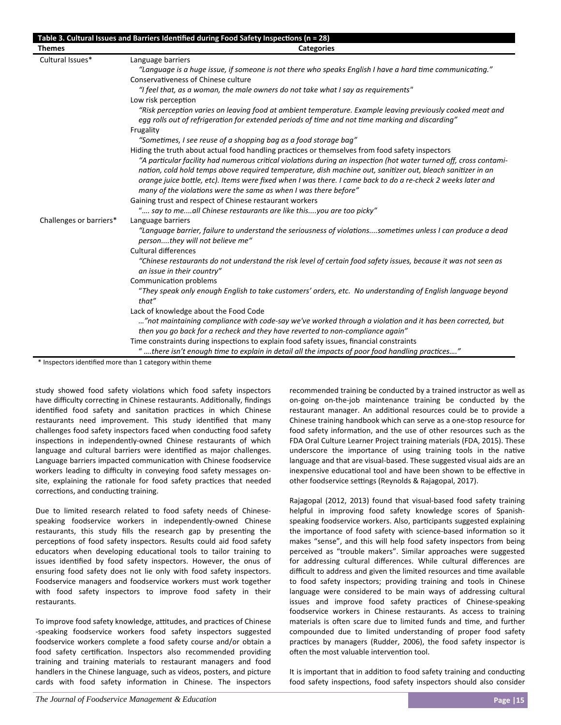|                         | Table 3. Cultural Issues and Barriers Identified during Food Safety Inspections (n = 28)                                                                                                                                                                                                                                                                                                                                                                                                                                                                                                                                                                                                                                                                                                                                                                                                                                                                                                                                                                                                                                                                                   |
|-------------------------|----------------------------------------------------------------------------------------------------------------------------------------------------------------------------------------------------------------------------------------------------------------------------------------------------------------------------------------------------------------------------------------------------------------------------------------------------------------------------------------------------------------------------------------------------------------------------------------------------------------------------------------------------------------------------------------------------------------------------------------------------------------------------------------------------------------------------------------------------------------------------------------------------------------------------------------------------------------------------------------------------------------------------------------------------------------------------------------------------------------------------------------------------------------------------|
| <b>Themes</b>           | <b>Categories</b>                                                                                                                                                                                                                                                                                                                                                                                                                                                                                                                                                                                                                                                                                                                                                                                                                                                                                                                                                                                                                                                                                                                                                          |
| Cultural Issues*        | Language barriers<br>"Language is a huge issue, if someone is not there who speaks English I have a hard time communicating."<br>Conservativeness of Chinese culture<br>"I feel that, as a woman, the male owners do not take what I say as requirements"<br>Low risk perception<br>"Risk perception varies on leaving food at ambient temperature. Example leaving previously cooked meat and<br>egg rolls out of refrigeration for extended periods of time and not time marking and discarding"<br>Frugality<br>"Sometimes, I see reuse of a shopping bag as a food storage bag"<br>Hiding the truth about actual food handling practices or themselves from food safety inspectors<br>"A particular facility had numerous critical violations during an inspection (hot water turned off, cross contami-<br>nation, cold hold temps above required temperature, dish machine out, sanitizer out, bleach sanitizer in an<br>orange juice bottle, etc). Items were fixed when I was there. I came back to do a re-check 2 weeks later and<br>many of the violations were the same as when I was there before"<br>Gaining trust and respect of Chinese restaurant workers |
| Challenges or barriers* | " say to meall Chinese restaurants are like thisyou are too picky"<br>Language barriers<br>"Language barrier, failure to understand the seriousness of violationssometimes unless I can produce a dead<br>personthey will not believe me"<br><b>Cultural differences</b><br>"Chinese restaurants do not understand the risk level of certain food safety issues, because it was not seen as<br>an issue in their country"<br>Communication problems<br>"They speak only enough English to take customers' orders, etc. No understanding of English language beyond<br>that"<br>Lack of knowledge about the Food Code<br>"not maintaining compliance with code-say we've worked through a violation and it has been corrected, but<br>then you go back for a recheck and they have reverted to non-compliance again"<br>Time constraints during inspections to explain food safety issues, financial constraints<br>"there isn't enough time to explain in detail all the impacts of poor food handling practices"                                                                                                                                                          |

\* Inspectors idenƟfied more than 1 category within theme

study showed food safety violations which food safety inspectors have difficulty correcting in Chinese restaurants. Additionally, findings identified food safety and sanitation practices in which Chinese restaurants need improvement. This study identified that many challenges food safety inspectors faced when conducting food safety inspections in independently-owned Chinese restaurants of which language and cultural barriers were identified as major challenges. Language barriers impacted communication with Chinese foodservice workers leading to difficulty in conveying food safety messages onsite, explaining the rationale for food safety practices that needed corrections, and conducting training.

Due to limited research related to food safety needs of Chinesespeaking foodservice workers in independently‐owned Chinese restaurants, this study fills the research gap by presenting the perceptions of food safety inspectors. Results could aid food safety educators when developing educational tools to tailor training to issues identified by food safety inspectors. However, the onus of ensuring food safety does not lie only with food safety inspectors. Foodservice managers and foodservice workers must work together with food safety inspectors to improve food safety in their restaurants.

To improve food safety knowledge, attitudes, and practices of Chinese ‐speaking foodservice workers food safety inspectors suggested foodservice workers complete a food safety course and/or obtain a food safety certification. Inspectors also recommended providing training and training materials to restaurant managers and food handlers in the Chinese language, such as videos, posters, and picture cards with food safety information in Chinese. The inspectors recommended training be conducted by a trained instructor as well as on‐going on‐the‐job maintenance training be conducted by the restaurant manager. An additional resources could be to provide a Chinese training handbook which can serve as a one‐stop resource for food safety information, and the use of other resources such as the FDA Oral Culture Learner Project training materials (FDA, 2015). These underscore the importance of using training tools in the native language and that are visual‐based. These suggested visual aids are an inexpensive educational tool and have been shown to be effective in other foodservice settings (Reynolds & Rajagopal, 2017).

Rajagopal (2012, 2013) found that visual‐based food safety training helpful in improving food safety knowledge scores of Spanishspeaking foodservice workers. Also, participants suggested explaining the importance of food safety with science-based information so it makes "sense", and this will help food safety inspectors from being perceived as "trouble makers". Similar approaches were suggested for addressing cultural differences. While cultural differences are difficult to address and given the limited resources and time available to food safety inspectors; providing training and tools in Chinese language were considered to be main ways of addressing cultural issues and improve food safety practices of Chinese-speaking foodservice workers in Chinese restaurants. As access to training materials is often scare due to limited funds and time, and further compounded due to limited understanding of proper food safety practices by managers (Rudder, 2006), the food safety inspector is often the most valuable intervention tool.

It is important that in addition to food safety training and conducting food safety inspections, food safety inspectors should also consider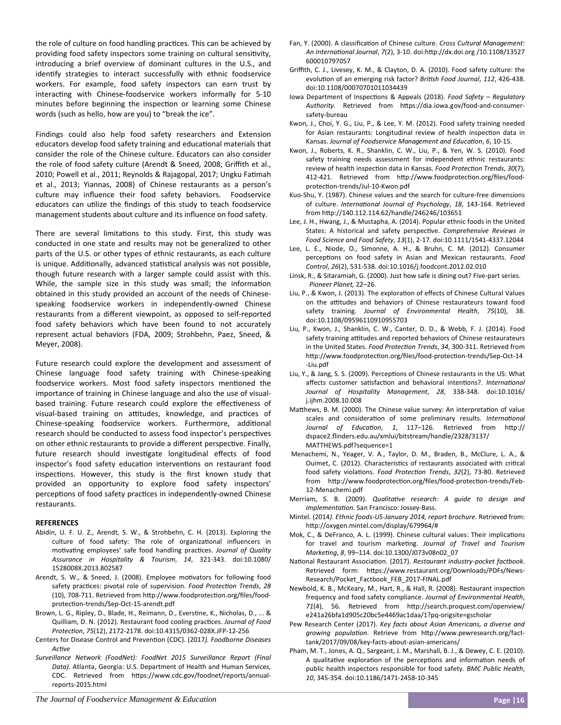the role of culture on food handling practices. This can be achieved by providing food safety inspectors some training on cultural sensitivity, introducing a brief overview of dominant cultures in the U.S., and identify strategies to interact successfully with ethnic foodservice workers. For example, food safety inspectors can earn trust by interacting with Chinese-foodservice workers informally for 5-10 minutes before beginning the inspection or learning some Chinese words (such as hello, how are you) to "break the ice".

Findings could also help food safety researchers and Extension educators develop food safety training and educational materials that consider the role of the Chinese culture. Educators can also consider the role of food safety culture (Arendt & Sneed, 2008; Griffith et al., 2010; Powell et al., 2011; Reynolds & Rajagopal, 2017; Ungku Fatimah et al., 2013; Yiannas, 2008) of Chinese restaurants as a person's culture may influence their food safety behaviors. Foodservice educators can utilize the findings of this study to teach foodservice management students about culture and its influence on food safety.

There are several limitations to this study. First, this study was conducted in one state and results may not be generalized to other parts of the U.S. or other types of ethnic restaurants, as each culture is unique. Additionally, advanced statistical analysis was not possible, though future research with a larger sample could assist with this. While, the sample size in this study was small; the information obtained in this study provided an account of the needs of Chinese‐ speaking foodservice workers in independently‐owned Chinese restaurants from a different viewpoint, as opposed to self‐reported food safety behaviors which have been found to not accurately represent actual behaviors (FDA, 2009; Strohbehn, Paez, Sneed, & Meyer, 2008).

Future research could explore the development and assessment of Chinese language food safety training with Chinese‐speaking foodservice workers. Most food safety inspectors mentioned the importance of training in Chinese language and also the use of visual‐ based training. Future research could explore the effectiveness of visual-based training on attitudes, knowledge, and practices of Chinese-speaking foodservice workers. Furthermore, additional research should be conducted to assess food inspector's perspectives on other ethnic restaurants to provide a different perspective. Finally, future research should investigate longitudinal effects of food inspector's food safety education interventions on restaurant food inspections. However, this study is the first known study that provided an opportunity to explore food safety inspectors' perceptions of food safety practices in independently-owned Chinese restaurants.

## **REFERENCES**

- Abidin, U. F. U. Z., Arendt, S. W., & Strohbehn, C. H. (2013). Exploring the culture of food safety: The role of organizational influencers in motivating employees' safe food handling practices. Journal of Quality *Assurance in Hospitality & Tourism*, *14*, 321‐343. doi:10.1080/ 1528008X.2013.802587
- Arendt, S. W., & Sneed, J. (2008). Employee motivators for following food safety practices: pivotal role of supervision. Food Protection Trends, 28 (10), 708-711. Retrieved from http://www.foodprotection.org/files/foodprotection-trends/Sep-Oct-15-arendt.pdf
- Brown, L. G., Ripley, D., Blade, H., Reimann, D., Everstine, K., Nicholas, D., ... & Quilliam, D. N. (2012). Restaurant food cooling practices. *Journal of Food ProtecƟon*, *75*(12), 2172‐2178. doi:10.4315/0362‐028X.JFP‐12‐256
- Centers for Disease Control and Prevention (CDC). (2017). Foodborne Diseases *AcƟve*
- *Surveillance Network (FoodNet): FoodNet 2015 Surveillance Report (Final Data).* Atlanta, Georgia: U.S. Department of Health and Human Services, CDC. Retrieved from https://www.cdc.gov/foodnet/reports/annualreports‐2015.html
- Fan, Y. (2000). A classification of Chinese culture. *Cross Cultural Management: An InternaƟonal Journal*, *7*(2), 3‐10. doi:hƩp://dx.doi.org /10.1108/13527 600010797057
- Griffith, C. J., Livesey, K. M., & Clayton, D. A. (2010). Food safety culture: the evolution of an emerging risk factor? *British Food Journal*, 112, 426-438. doi:10.1108/00070701011034439
- Iowa Department of Inspections & Appeals (2018). Food Safety Regulatory Authority. Retrieved from https://dia.iowa.gov/food-and-consumersafety‐bureau
- Kwon, J., Choi, Y. G., Liu, P., & Lee, Y. M. (2012). Food safety training needed for Asian restaurants: Longitudinal review of health inspection data in Kansas. Journal of Foodservice Management and Education, 6, 10-15.
- Kwon, J., Roberts, K. R., Shanklin, C. W., Liu, P., & Yen, W. S. (2010). Food safety training needs assessment for independent ethnic restaurants: review of health inspection data in Kansas. *Food Protection Trends*, 30(7), 412-421. Retrieved from http://www.foodprotection.org/files/foodprotection-trends/Jul-10-Kwon.pdf
- Kuo‐Shu, Y. (1987). Chinese values and the search for culture‐free dimensions of culture. *International Journal of Psychology*, 18, 143-164. Retrieved from hƩp://140.112.114.62/handle/246246/103651
- Lee, J. H., Hwang, J., & Mustapha, A. (2014). Popular ethnic foods in the United States: A historical and safety perspective. Comprehensive Reviews in *Food Science and Food Safety*, *13*(1), 2‐17. doi:10.1111/1541‐4337.12044
- Lee, L. E., Niode, O., Simonne, A. H., & Bruhn, C. M. (2012). Consumer perceptions on food safety in Asian and Mexican restaurants. Food *Control*, *26*(2), 531‐538. doi:10.1016/j.foodcont.2012.02.010
- Linsk, R., & Sitaramiah, G. (2000). Just how safe is dining out? Five‐part series.  *Pioneer Planet,* 22–26.
- Liu, P., & Kwon, J. (2013). The exploration of effects of Chinese Cultural Values on the attitudes and behaviors of Chinese restaurateurs toward food safety training. *Journal of Environmental Health*, *75*(10), 38. doi:10.1108/09596110910955703
- Liu, P., Kwon, J., Shanklin, C. W., Canter, D. D., & Webb, F. J. (2014). Food safety training attitudes and reported behaviors of Chinese restaurateurs in the United States. *Food Protection Trends*, 34, 300-311. Retrieved from http://www.foodprotection.org/files/food-protection-trends/Sep-Oct-14 ‐Liu.pdf
- Liu, Y., & Jang, S. S. (2009). Perceptions of Chinese restaurants in the US: What affects customer satisfaction and behavioral intentions?. International *Journal of Hospitality Management*, *28*, 338‐348. doi:10.1016/ j.ijhm.2008.10.008
- Matthews, B. M. (2000). The Chinese value survey: An interpretation of value scales and consideration of some preliminary results. *International* Journal of Education, 1, 117-126. Retrieved from http:// dspace2.flinders.edu.au/xmlui/bitstream/handle/2328/3137/ MATTHEWS.pdf?sequence=1
- Menachemi, N., Yeager, V. A., Taylor, D. M., Braden, B., McClure, L. A., & Ouimet, C. (2012). Characteristics of restaurants associated with critical food safety violations. Food Protection Trends, 32(2), 73-80. Retrieved from http://www.foodprotection.org/files/food-protection-trends/Feb-12‐Menachemi.pdf
- Merriam, S. B. (2009). *QualitaƟve research: A guide to design and implementaƟon.* San Francisco: Jossey‐Bass.
- Mintel. (2014*). Ethnic foods-US-January 2014, report brochure*. Retrieved from: hƩp://oxygen.mintel.com/display/679964/#
- Mok, C., & DeFranco, A. L. (1999). Chinese cultural values: Their implications for travel and tourism marketing. Journal of Travel and Tourism *MarkeƟng*, *8*, 99–114. doi:10.1300/J073v08n02\_07
- National Restaurant Association. (2017). *Restaurant industry-pocket factbook*. Retrieved form: https://www.restaurant.org/Downloads/PDFs/News-Research/Pocket\_Factbook\_FEB\_2017‐FINAL.pdf
- Newbold, K. B., McKeary, M., Hart, R., & Hall, R. (2008). Restaurant inspection frequency and food safety compliance. *Journal of Environmental Health*, 71(4), 56. Retrieved from http://search.proquest.com/openview/ e241a26bfa1d905c20bc5e4469ac1daa/1?pq‐origsite=gscholar
- Pew Research Center (2017). *Key facts about Asian Americans, a diverse and*  growing population. Retrieve from http://www.pewresearch.org/facttank/2017/09/08/key‐facts‐about‐asian‐americans/
- Pham, M. T., Jones, A. Q., Sargeant, J. M., Marshall, B. J., & Dewey, C. E. (2010). A qualitative exploration of the perceptions and information needs of public health inspectors responsible for food safety. *BMC Public Health*, *10*, 345‐354. doi:10.1186/1471‐2458‐10‐345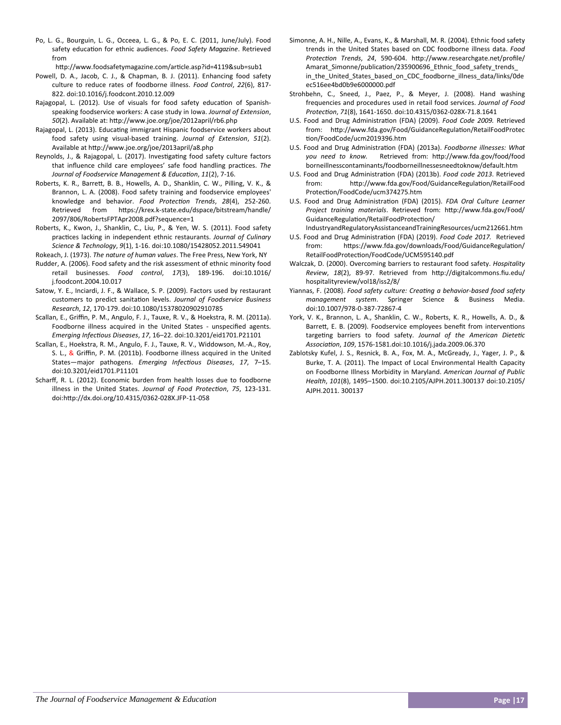Po, L. G., Bourguin, L. G., Occeea, L. G., & Po, E. C. (2011, June/July). Food safety education for ethnic audiences. *Food Safety Magazine*. Retrieved from

http://www.foodsafetymagazine.com/article.asp?id=4119&sub=sub1

- Powell, D. A., Jacob, C. J., & Chapman, B. J. (2011). Enhancing food safety culture to reduce rates of foodborne illness. *Food Control*, *22*(6), 817‐ 822. doi:10.1016/j.foodcont.2010.12.009
- Rajagopal, L. (2012). Use of visuals for food safety education of Spanishspeaking foodservice workers: A case study in Iowa. *Journal of Extension*, *50*(2). Available at: hƩp://www.joe.org/joe/2012april/rb6.php
- Rajagopal, L. (2013). Educating immigrant Hispanic foodservice workers about food safety using visual‐based training. *Journal of Extension*, *51*(2). Available at http://www.joe.org/joe/2013april/a8.php
- Reynolds, J., & Rajagopal, L. (2017). Investigating food safety culture factors that influence child care employees' safe food handling practices. The *Journal of Foodservice Management & EducaƟon*, *11*(2), 7‐16.
- Roberts, K. R., Barrett, B. B., Howells, A. D., Shanklin, C. W., Pilling, V. K., & Brannon, L. A. (2008). Food safety training and foodservice employees' knowledge and behavior. Food Protection Trends, 28(4), 252-260. Retrieved from https://krex.k-state.edu/dspace/bitstream/handle/ 2097/806/RobertsFPTApr2008.pdf?sequence=1
- Roberts, K., Kwon, J., Shanklin, C., Liu, P., & Yen, W. S. (2011). Food safety practices lacking in independent ethnic restaurants. *Journal of Culinary Science & Technology*, *9*(1), 1‐16. doi:10.1080/15428052.2011.549041
- Rokeach, J. (1973). *The nature of human values*. The Free Press, New York, NY
- Rudder, A. (2006). Food safety and the risk assessment of ethnic minority food retail businesses. *Food control*, *17*(3), 189‐196. doi:10.1016/ j.foodcont.2004.10.017
- Satow, Y. E., Inciardi, J. F., & Wallace, S. P. (2009). Factors used by restaurant customers to predict sanitaƟon levels. *Journal of Foodservice Business Research*, *12*, 170‐179. doi:10.1080/15378020902910785
- Scallan, E., Griffin, P. M., Angulo, F. J., Tauxe, R. V., & Hoekstra, R. M. (2011a). Foodborne illness acquired in the United States - unspecified agents. *Emerging InfecƟous Diseases*, *17*, 16–22. doi:10.3201/eid1701.P21101
- Scallan, E., Hoekstra, R. M., Angulo, F. J., Tauxe, R. V., Widdowson, M.‐A., Roy, S. L., & Griffin, P. M. (2011b). Foodborne illness acquired in the United States—major pathogens. Emerging Infectious Diseases, 17, 7-15. doi:10.3201/eid1701.P11101
- Scharff, R. L. (2012). Economic burden from health losses due to foodborne illness in the United States. Journal of Food Protection, 75, 123-131. doi:hƩp://dx.doi.org/10.4315/0362‐028X.JFP‐11‐058
- Simonne, A. H., Nille, A., Evans, K., & Marshall, M. R. (2004). Ethnic food safety trends in the United States based on CDC foodborne illness data. *Food ProtecƟon Trends*, *24*, 590‐604. hƩp://www.researchgate.net/profile/ Amarat Simonne/publication/235900696 Ethnic food safety trends in\_the\_United\_States\_based\_on\_CDC\_foodborne\_illness\_data/links/0de ec516ee4bd0b9e6000000.pdf
- Strohbehn, C., Sneed, J., Paez, P., & Meyer, J. (2008). Hand washing frequencies and procedures used in retail food services. *Journal of Food ProtecƟon*, *71*(8), 1641‐1650. doi:10.4315/0362‐028X‐71.8.1641
- U.S. Food and Drug Administration (FDA) (2009). Food Code 2009. Retrieved from: http://www.fda.gov/Food/GuidanceRegulation/RetailFoodProtec Ɵon/FoodCode/ucm2019396.htm
- U.S. Food and Drug Administration (FDA) (2013a). *Foodborne illnesses: What you need to know.* Retrieved from: hƩp://www.fda.gov/food/food borneillnesscontaminants/foodborneillnessesneedtoknow/default.htm
- U.S. Food and Drug Administration (FDA) (2013b). *Food code 2013*. Retrieved from: http://www.fda.gov/Food/GuidanceRegulation/RetailFood ProtecƟon/FoodCode/ucm374275.htm
- U.S. Food and Drug Administration (FDA) (2015). *FDA Oral Culture Learner* Project training materials. Retrieved from: http://www.fda.gov/Food/ GuidanceRegulation/RetailFoodProtection/
- IndustryandRegulatoryAssistanceandTrainingResources/ucm212661.htm U.S. Food and Drug Administration (FDA) (2019). *Food Code 2017.* Retrieved from: https://www.fda.gov/downloads/Food/GuidanceRegulation/ RetailFoodProtecƟon/FoodCode/UCM595140.pdf
- Walczak, D. (2000). Overcoming barriers to restaurant food safety. *Hospitality Review*, *18*(2), 89‐97. Retrieved from hƩp://digitalcommons.fiu.edu/ hospitalityreview/vol18/iss2/8/
- Yiannas, F. (2008). *Food safety culture: Creating a behavior-based food safety management system*. Springer Science & Business Media. doi:10.1007/978‐0‐387‐72867‐4
- York, V. K., Brannon, L. A., Shanklin, C. W., Roberts, K. R., Howells, A. D., & Barrett, E. B. (2009). Foodservice employees benefit from interventions targeting barriers to food safety. Journal of the American Dietetic *AssociaƟon*, *109*, 1576‐1581.doi:10.1016/j.jada.2009.06.370
- Zablotsky Kufel, J. S., Resnick, B. A., Fox, M. A., McGready, J., Yager, J. P., & Burke, T. A. (2011). The Impact of Local Environmental Health Capacity on Foodborne Illness Morbidity in Maryland. *American Journal of Public Health*, *101*(8), 1495–1500. doi:10.2105/AJPH.2011.300137 doi:10.2105/ AJPH.2011. 300137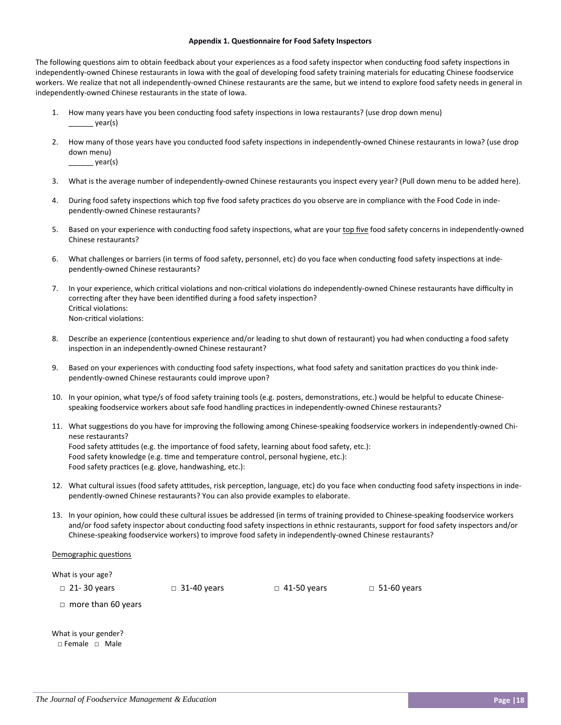### **Appendix 1. Questionnaire for Food Safety Inspectors**

The following questions aim to obtain feedback about your experiences as a food safety inspector when conducting food safety inspections in independently-owned Chinese restaurants in Iowa with the goal of developing food safety training materials for educating Chinese foodservice workers. We realize that not all independently-owned Chinese restaurants are the same, but we intend to explore food safety needs in general in independently‐owned Chinese restaurants in the state of Iowa.

- 1. How many years have you been conducting food safety inspections in Iowa restaurants? (use drop down menu) \_\_\_\_\_\_ year(s)
- 2. How many of those years have you conducted food safety inspections in independently-owned Chinese restaurants in Iowa? (use drop down menu)
	- $\_year(s)$
- 3. What is the average number of independently-owned Chinese restaurants you inspect every year? (Pull down menu to be added here).
- 4. During food safety inspections which top five food safety practices do you observe are in compliance with the Food Code in independently‐owned Chinese restaurants?
- 5. Based on your experience with conducting food safety inspections, what are your top five food safety concerns in independently-owned Chinese restaurants?
- 6. What challenges or barriers (in terms of food safety, personnel, etc) do you face when conducting food safety inspections at independently‐owned Chinese restaurants?
- 7. In your experience, which critical violations and non-critical violations do independently-owned Chinese restaurants have difficulty in correcting after they have been identified during a food safety inspection? Critical violations: Non-critical violations:
- 8. Describe an experience (contentious experience and/or leading to shut down of restaurant) you had when conducting a food safety inspection in an independently-owned Chinese restaurant?
- 9. Based on your experiences with conducting food safety inspections, what food safety and sanitation practices do you think independently‐owned Chinese restaurants could improve upon?
- 10. In your opinion, what type/s of food safety training tools (e.g. posters, demonstrations, etc.) would be helpful to educate Chinesespeaking foodservice workers about safe food handling practices in independently-owned Chinese restaurants?
- 11. What suggestions do you have for improving the following among Chinese-speaking foodservice workers in independently-owned Chinese restaurants? Food safety attitudes (e.g. the importance of food safety, learning about food safety, etc.): Food safety knowledge (e.g. time and temperature control, personal hygiene, etc.): Food safety practices (e.g. glove, handwashing, etc.):
- 12. What cultural issues (food safety attitudes, risk perception, language, etc) do you face when conducting food safety inspections in independently‐owned Chinese restaurants? You can also provide examples to elaborate.
- 13. In your opinion, how could these cultural issues be addressed (in terms of training provided to Chinese-speaking foodservice workers and/or food safety inspector about conducting food safety inspections in ethnic restaurants, support for food safety inspectors and/or Chinese‐speaking foodservice workers) to improve food safety in independently‐owned Chinese restaurants?

#### Demographic questions

What is your age?

□ 21-30 years □ 31-40 years □ 41-50 years □ 51-60 years

□ more than 60 years

What is your gender? □ Female □ Male